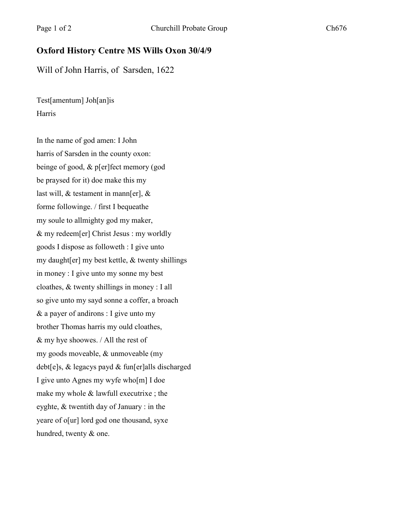## **Oxford History Centre MS Wills Oxon 30/4/9**

Will of John Harris, of Sarsden, 1622

Test[amentum] Joh[an]is Harris

In the name of god amen: I John harris of Sarsden in the county oxon: beinge of good, & p[er]fect memory (god be praysed for it) doe make this my last will, & testament in mann[er], & forme followinge. / first I bequeathe my soule to allmighty god my maker, & my redeem[er] Christ Jesus : my worldly goods I dispose as followeth : I give unto my daught[er] my best kettle, & twenty shillings in money : I give unto my sonne my best cloathes, & twenty shillings in money : I all so give unto my sayd sonne a coffer, a broach & a payer of andirons : I give unto my brother Thomas harris my ould cloathes, & my hye shoowes. / All the rest of my goods moveable, & unmoveable (my debt[e]s, & legacys payd & fun[er]alls discharged I give unto Agnes my wyfe who[m] I doe make my whole & lawfull executrixe ; the eyghte, & twentith day of January : in the yeare of o[ur] lord god one thousand, syxe hundred, twenty & one.